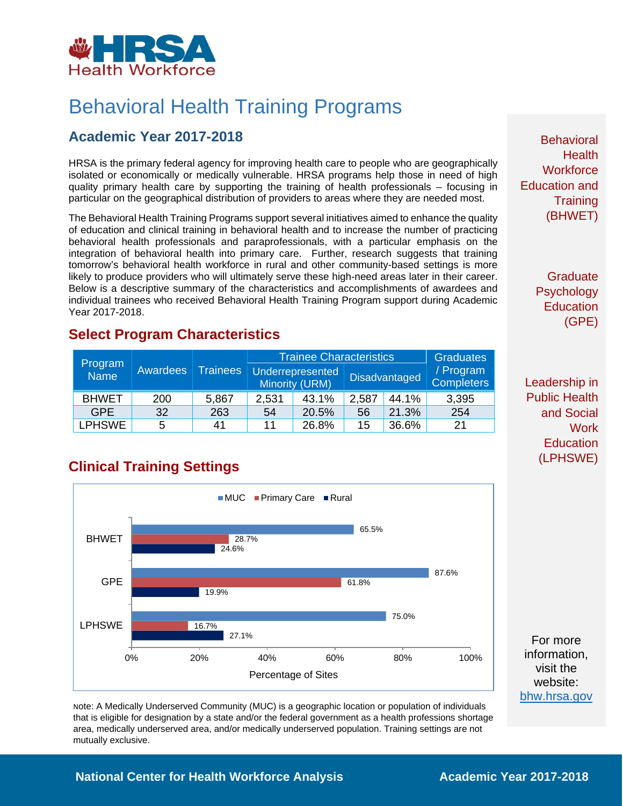

# Behavioral Health Training Programs

### **Academic Year 2017-2018**

HRSA is the primary federal agency for improving health care to people who are geographically isolated or economically or medically vulnerable. HRSA programs help those in need of high quality primary health care by supporting the training of health professionals – focusing in particular on the geographical distribution of providers to areas where they are needed most.

The Behavioral Health Training Programs support several initiatives aimed to enhance the quality of education and clinical training in behavioral health and to increase the number of practicing behavioral health professionals and paraprofessionals, with a particular emphasis on the integration of behavioral health into primary care. Further, research suggests that training tomorrow's behavioral health workforce in rural and other community-based settings is more likely to produce providers who will ultimately serve these high-need areas later in their career. Below is a descriptive summary of the characteristics and accomplishments of awardees and individual trainees who received Behavioral Health Training Program support during Academic Year 2017-2018.

### **Select Program Characteristics**

| Program<br><b>Name</b> | Awardees | <b>Trainees</b> | <b>Trainee Characteristics</b> |                                    |                      |       | <b>Graduates</b>               |
|------------------------|----------|-----------------|--------------------------------|------------------------------------|----------------------|-------|--------------------------------|
|                        |          |                 |                                | Underrepresented<br>Minority (URM) | <b>Disadvantaged</b> |       | / Program<br><b>Completers</b> |
| <b>BHWET</b>           | 200      | 5,867           | 2,531                          | 43.1%                              | 2,587                | 44.1% | 3,395                          |
| <b>GPE</b>             | 32       | 263             | 54                             | 20.5%                              | 56                   | 21.3% | 254                            |
| LPHSWE                 | 5        | 41              | 11                             | 26.8%                              | 15                   | 36.6% | 21                             |

## **Clinical Training Settings**



Note: A Medically Underserved Community (MUC) is a geographic location or population of individuals that is eligible for designation by a state and/or the federal government as a health professions shortage area, medically underserved area, and/or medically underserved population. Training settings are not mutually exclusive.

**Behavioral Health Workforce** Education and **Training** (BHWET)

> **Graduate Psychology Education** (GPE)

Leadership in Public Health and Social **Work Education** (LPHSWE)

For more information, visit the website: [bhw.hrsa.gov](http://bhw.hrsa.gov/)

#### **National Center for Health Workforce Analysis Mational Center 2017-2018**